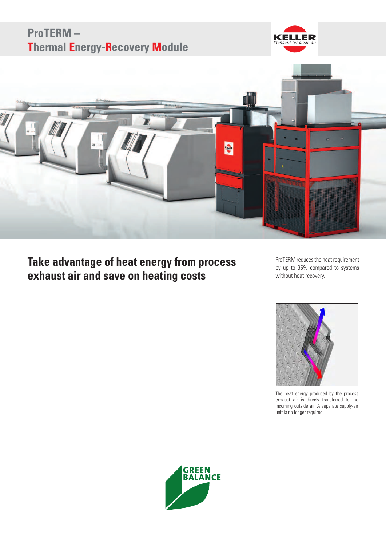

# **Take advantage of heat energy from process exhaust air and save on heating costs**

ProTERM reduces the heat requirement by up to 95% compared to systems without heat recovery.



The heat energy produced by the process exhaust air is direcly transferred to the incoming outside air. A separate supply-air unit is no longer required.

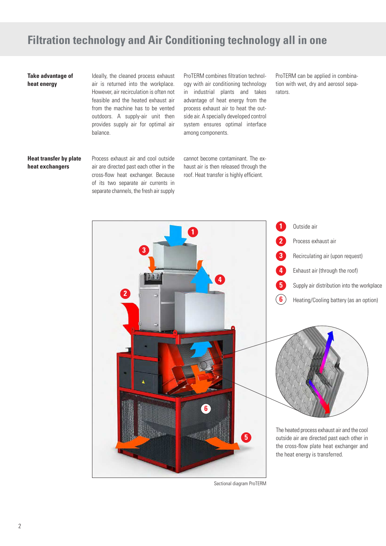## **Filtration technology and Air Conditioning technology all in one**

#### **Take advantage of heat energy**

Ideally, the cleaned process exhaust air is returned into the workplace. However, air recirculation is often not feasible and the heated exhaust air from the machine has to be vented outdoors. A supply-air unit then provides supply air for optimal air balance.

ProTERM combines filtration technology with air conditioning technology in industrial plants and takes advantage of heat energy from the process exhaust air to heat the outside air. A specially developed control system ensures optimal interface among components.

cannot become contaminant. The exhaust air is then released through the roof. Heat transfer is highly efficient.

ProTERM can be applied in combination with wet, dry and aerosol separators.

#### **Heat transfer by plate heat exchangers**

Process exhaust air and cool outside air are directed past each other in the cross-flow heat exchanger. Because of its two separate air currents in separate channels, the fresh air supply

**1 2 1**



Sectional diagram ProTERM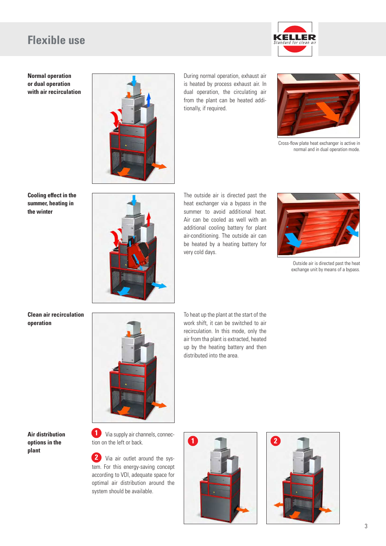### **Flexible use**



**Normal operation or dual operation with air recirculation**



During normal operation, exhaust air is heated by process exhaust air. In dual operation, the circulating air from the plant can be heated additionally, if required.



Cross-flow plate heat exchanger is active in normal and in dual operation mode.

**Cooling effect in the summer, heating in the winter**



The outside air is directed past the heat exchanger via a bypass in the summer to avoid additional heat. Air can be cooled as well with an additional cooling battery for plant air-conditioning. The outside air can be heated by a heating battery for very cold days.



Outside air is directed past the heat exchange unit by means of a bypass.

**Clean air recirculation operation**



To heat up the plant at the start of the work shift, it can be switched to air recirculation. In this mode, only the air from tha plant is extracted, heated up by the heating battery and then distributed into the area.

#### **Air distribution options in the plant**

**1** Via supply air channels, connection on the left or back.

 Via air outlet around the sys-**2** tem. For this energy-saving concept according to VDI, adequate space for optimal air distribution around the system should be available.